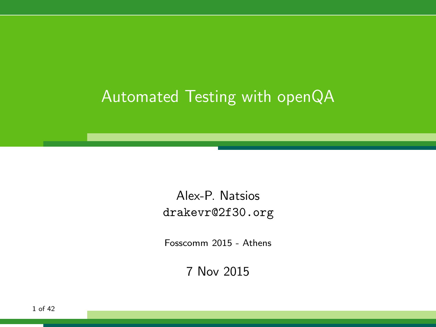### Automated Testing with openQA

Alex-P. Natsios <drakevr@2f30.org>

Fosscomm 2015 - Athens

7 Nov 2015

1 of 42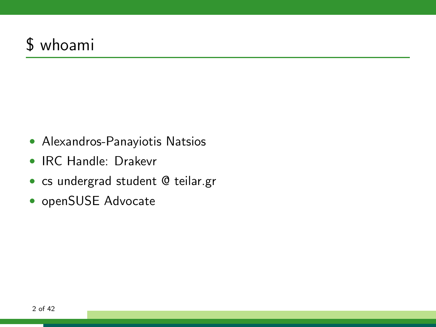### \$ whoami

- Alexandros-Panayiotis Natsios
- IRC Handle: Drakevr
- cs undergrad student @ teilar.gr
- openSUSE Advocate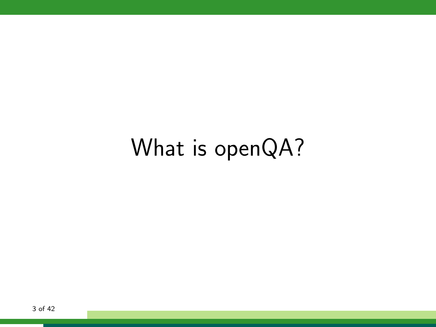# What is openQA?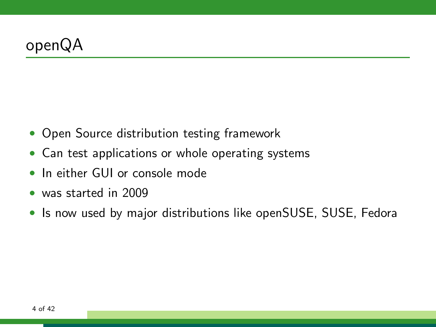- Open Source distribution testing framework
- Can test applications or whole operating systems
- In either GUI or console mode
- was started in 2009
- Is now used by major distributions like openSUSE, SUSE, Fedora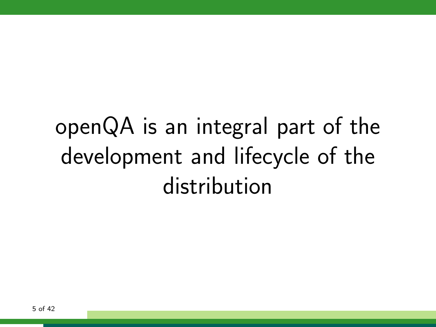# openQA is an integral part of the development and lifecycle of the distribution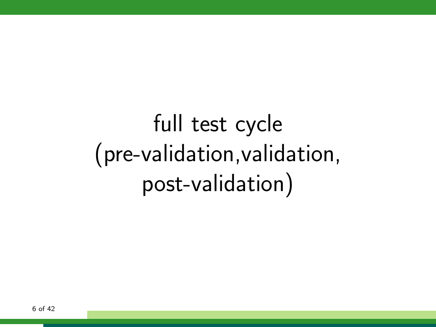# full test cycle (pre-validation,validation, post-validation)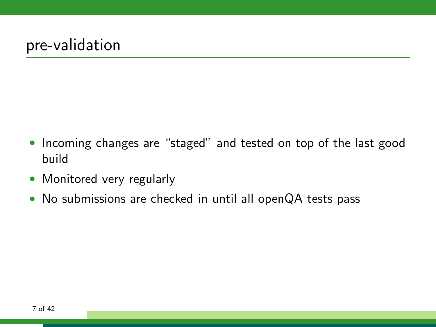- Incoming changes are "staged" and tested on top of the last good build
- Monitored very regularly
- No submissions are checked in until all openQA tests pass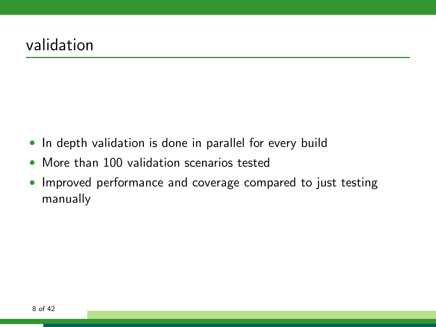- In depth validation is done in parallel for every build
- More than 100 validation scenarios tested
- Improved performance and coverage compared to just testing manually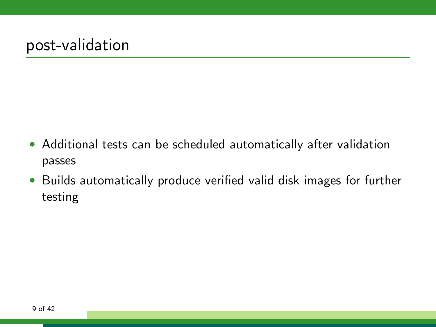- Additional tests can be scheduled automatically after validation passes
- Builds automatically produce verified valid disk images for further testing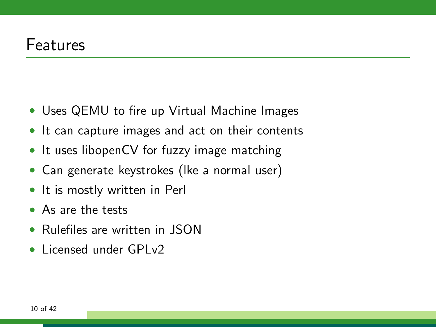- Uses QEMU to fire up Virtual Machine Images
- It can capture images and act on their contents
- It uses libopenCV for fuzzy image matching
- Can generate keystrokes (lke a normal user)
- It is mostly written in Perl
- As are the tests
- Rulefiles are written in JSON
- Licensed under GPLv2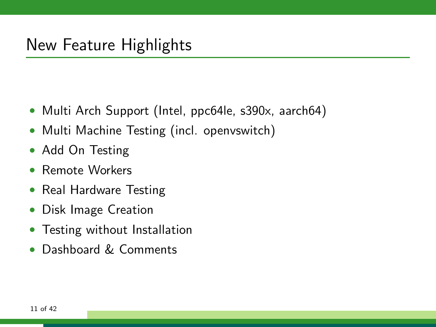- Multi Arch Support (Intel, ppc64le, s390x, aarch64)
- Multi Machine Testing (incl. openvswitch)
- Add On Testing
- Remote Workers
- Real Hardware Testing
- Disk Image Creation
- Testing without Installation
- Dashboard & Comments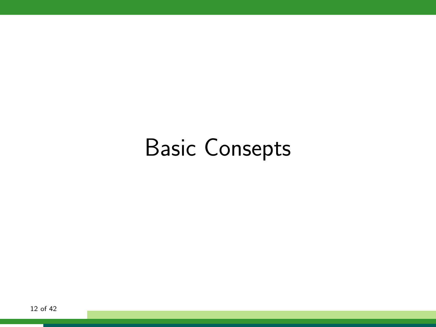# Basic Consepts

12 of 42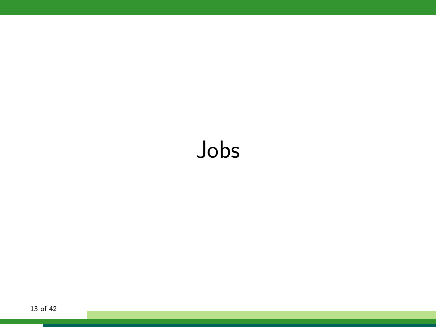# Jobs

13 of 42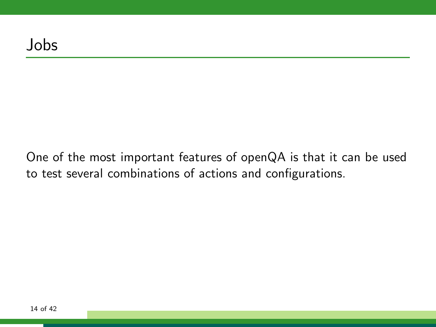One of the most important features of openQA is that it can be used to test several combinations of actions and configurations.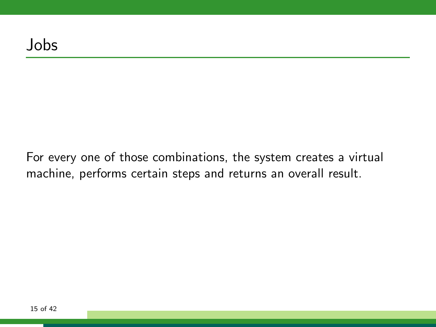For every one of those combinations, the system creates a virtual machine, performs certain steps and returns an overall result.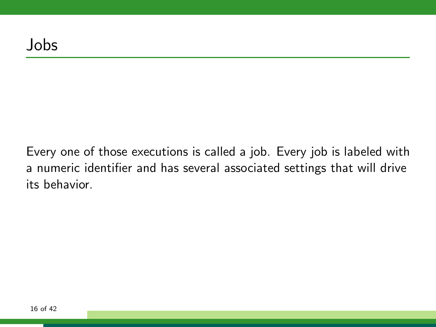Every one of those executions is called a job. Every job is labeled with a numeric identifier and has several associated settings that will drive its behavior.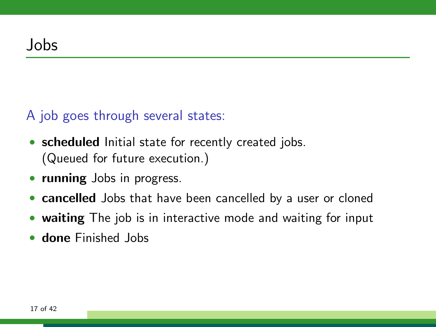#### A job goes through several states:

- scheduled Initial state for recently created jobs. (Queued for future execution.)
- running Jobs in progress.
- cancelled Jobs that have been cancelled by a user or cloned
- waiting The job is in interactive mode and waiting for input
- done Finished Jobs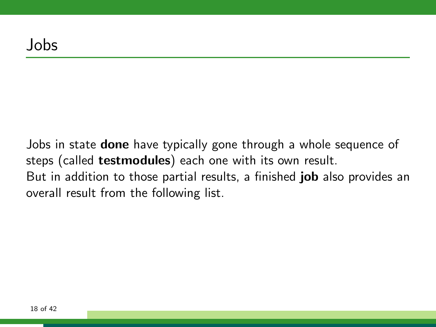Jobs in state **done** have typically gone through a whole sequence of steps (called testmodules) each one with its own result. But in addition to those partial results, a finished **job** also provides an overall result from the following list.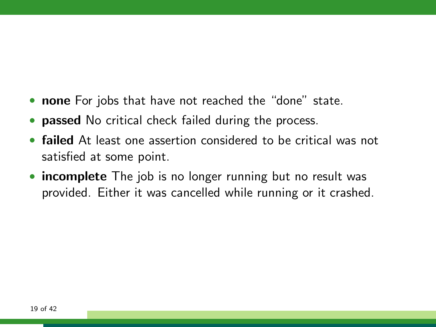- none For jobs that have not reached the "done" state.
- passed No critical check failed during the process.
- failed At least one assertion considered to be critical was not satisfied at some point.
- incomplete The job is no longer running but no result was provided. Either it was cancelled while running or it crashed.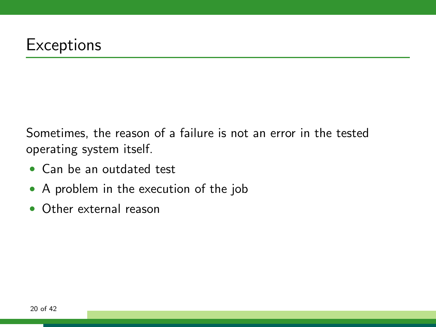Sometimes, the reason of a failure is not an error in the tested operating system itself.

- Can be an outdated test
- A problem in the execution of the job
- Other external reason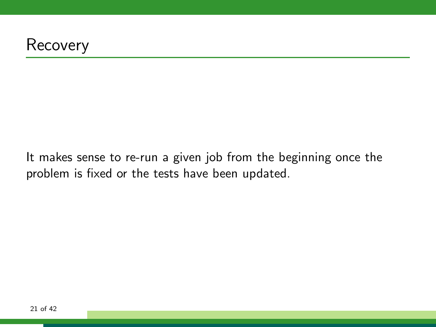

It makes sense to re-run a given job from the beginning once the problem is fixed or the tests have been updated.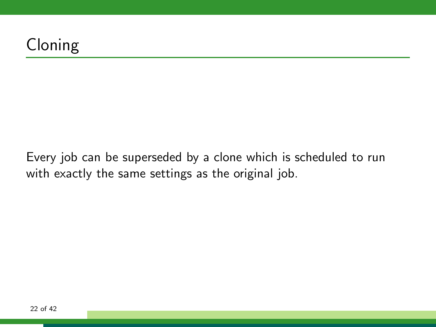### Cloning

Every job can be superseded by a clone which is scheduled to run with exactly the same settings as the original job.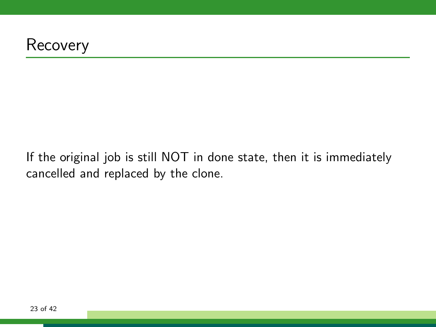

If the original job is still NOT in done state, then it is immediately cancelled and replaced by the clone.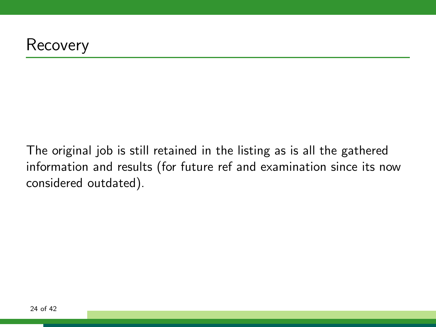The original job is still retained in the listing as is all the gathered information and results (for future ref and examination since its now considered outdated).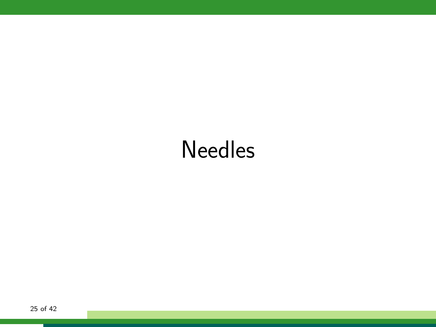# Needles

25 of 42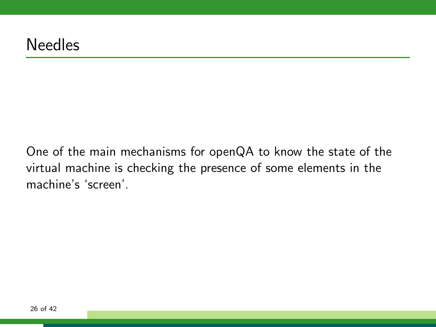One of the main mechanisms for openQA to know the state of the virtual machine is checking the presence of some elements in the machine's 'screen'.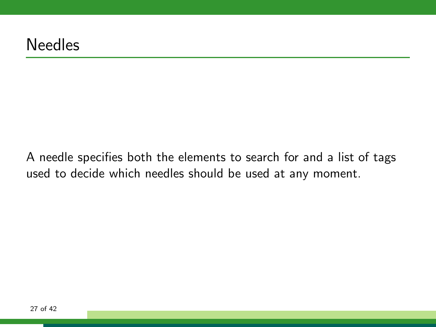A needle specifies both the elements to search for and a list of tags used to decide which needles should be used at any moment.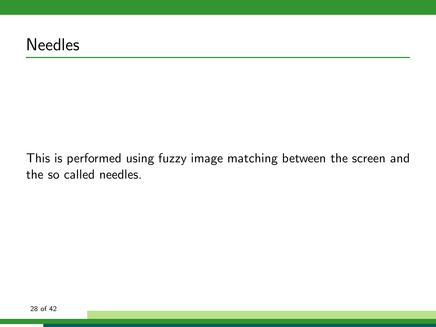This is performed using fuzzy image matching between the screen and the so called needles.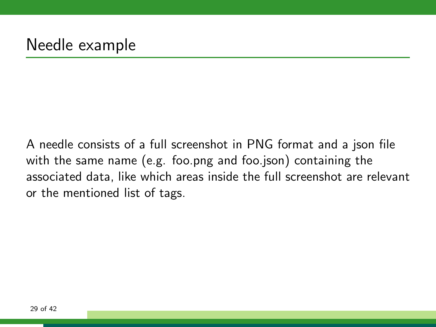A needle consists of a full screenshot in PNG format and a json file with the same name (e.g. foo.png and foo.json) containing the associated data, like which areas inside the full screenshot are relevant or the mentioned list of tags.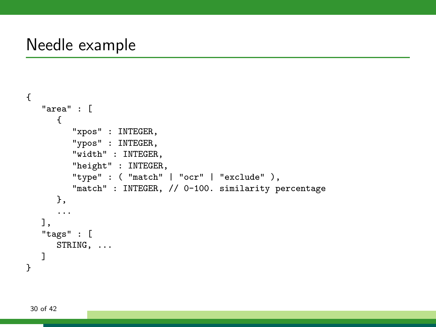### Needle example

```
{
   "area" : [
      {
        "xpos" : INTEGER,
         "ypos" : INTEGER,
         "width" : INTEGER,
         "height" : INTEGER,
         "type" : ( "match" | "ocr" | "exclude" ),
         "match" : INTEGER, // 0-100. similarity percentage
      },
      ...
   ],
   "tags" : [
      STRING, ...
   ]
}
```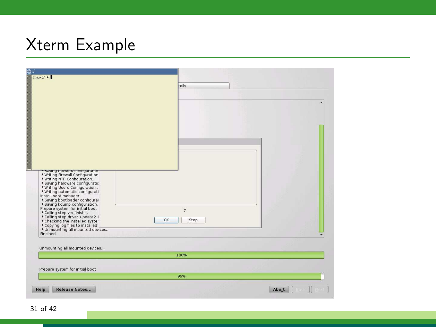### Xterm Example



31 of 42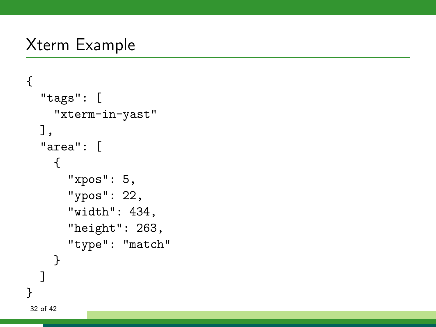### Xterm Example

```
{
  "tags": [
    "xterm-in-yast"
  ],
  "area": [
    {
      "xpos": 5,
      "ypos": 22,
      "width": 434,
      "height": 263,
      "type": "match"
    }
  ]
}
32 of 42
```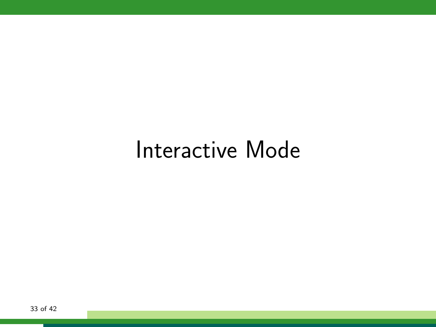### Interactive Mode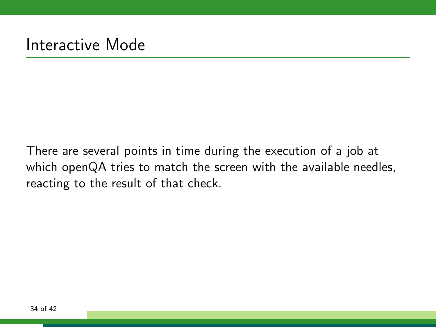There are several points in time during the execution of a job at which openQA tries to match the screen with the available needles, reacting to the result of that check.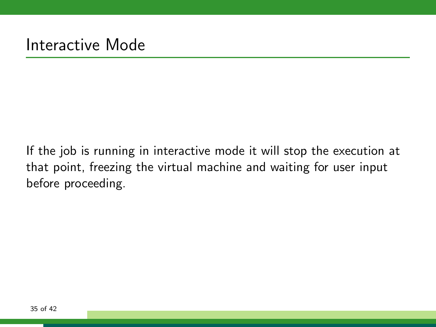If the job is running in interactive mode it will stop the execution at that point, freezing the virtual machine and waiting for user input before proceeding.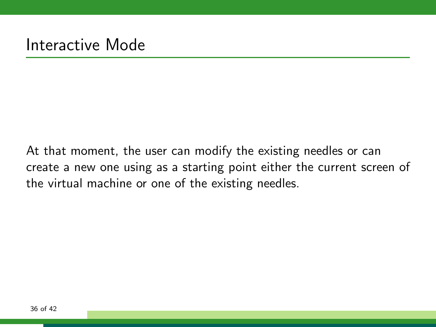At that moment, the user can modify the existing needles or can create a new one using as a starting point either the current screen of the virtual machine or one of the existing needles.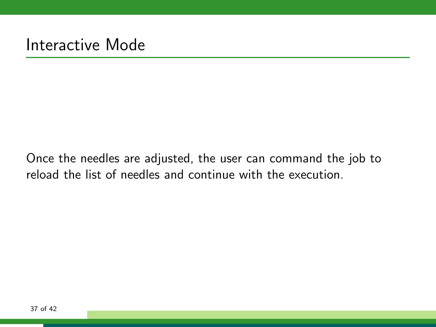Once the needles are adjusted, the user can command the job to reload the list of needles and continue with the execution.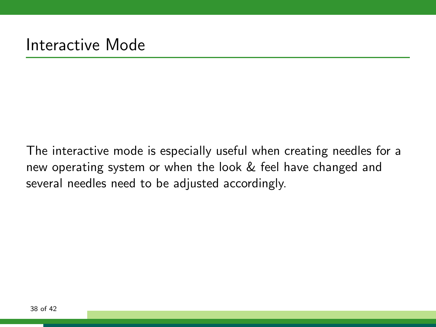The interactive mode is especially useful when creating needles for a new operating system or when the look & feel have changed and several needles need to be adjusted accordingly.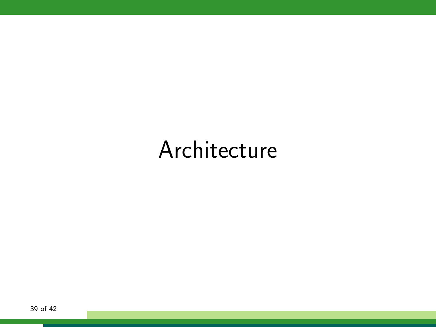# Architecture

39 of 42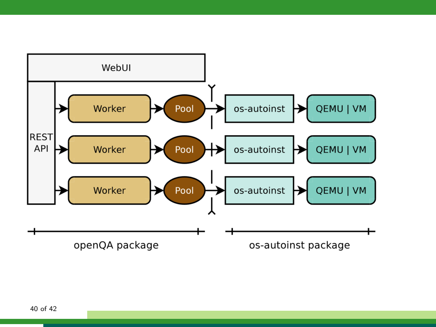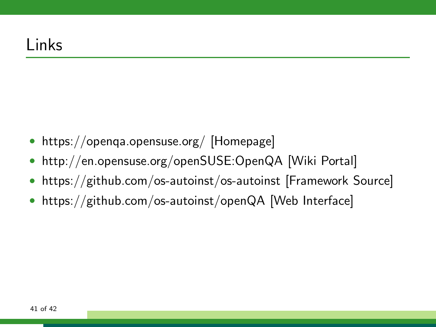- https://openqa.opensuse.org/ [Homepage]
- http://en.opensuse.org/openSUSE:OpenQA [Wiki Portal]
- https://github.com/os-autoinst/os-autoinst [Framework Source]
- https://github.com/os-autoinst/openQA [Web Interface]